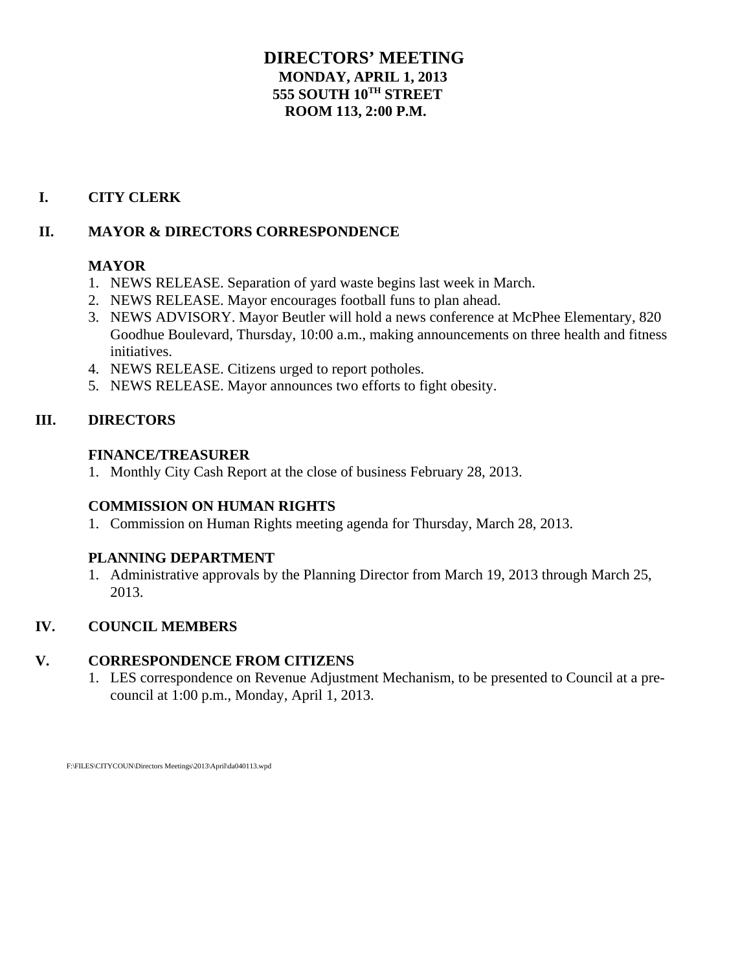# **DIRECTORS' MEETING MONDAY, APRIL 1, 2013 555 SOUTH 10TH STREET ROOM 113, 2:00 P.M.**

# **I. CITY CLERK**

# **II. MAYOR & DIRECTORS CORRESPONDENCE**

# **MAYOR**

- 1. NEWS RELEASE. Separation of yard waste begins last week in March.
- 2. NEWS RELEASE. Mayor encourages football funs to plan ahead.
- 3. NEWS ADVISORY. Mayor Beutler will hold a news conference at McPhee Elementary, 820 Goodhue Boulevard, Thursday, 10:00 a.m., making announcements on three health and fitness initiatives.
- 4. NEWS RELEASE. Citizens urged to report potholes.
- 5. NEWS RELEASE. Mayor announces two efforts to fight obesity.

# **III. DIRECTORS**

#### **FINANCE/TREASURER**

1. Monthly City Cash Report at the close of business February 28, 2013.

# **COMMISSION ON HUMAN RIGHTS**

1. Commission on Human Rights meeting agenda for Thursday, March 28, 2013.

# **PLANNING DEPARTMENT**

1. Administrative approvals by the Planning Director from March 19, 2013 through March 25, 2013.

# **IV. COUNCIL MEMBERS**

# **V. CORRESPONDENCE FROM CITIZENS**

1. LES correspondence on Revenue Adjustment Mechanism, to be presented to Council at a precouncil at 1:00 p.m., Monday, April 1, 2013.

F:\FILES\CITYCOUN\Directors Meetings\2013\April\da040113.wpd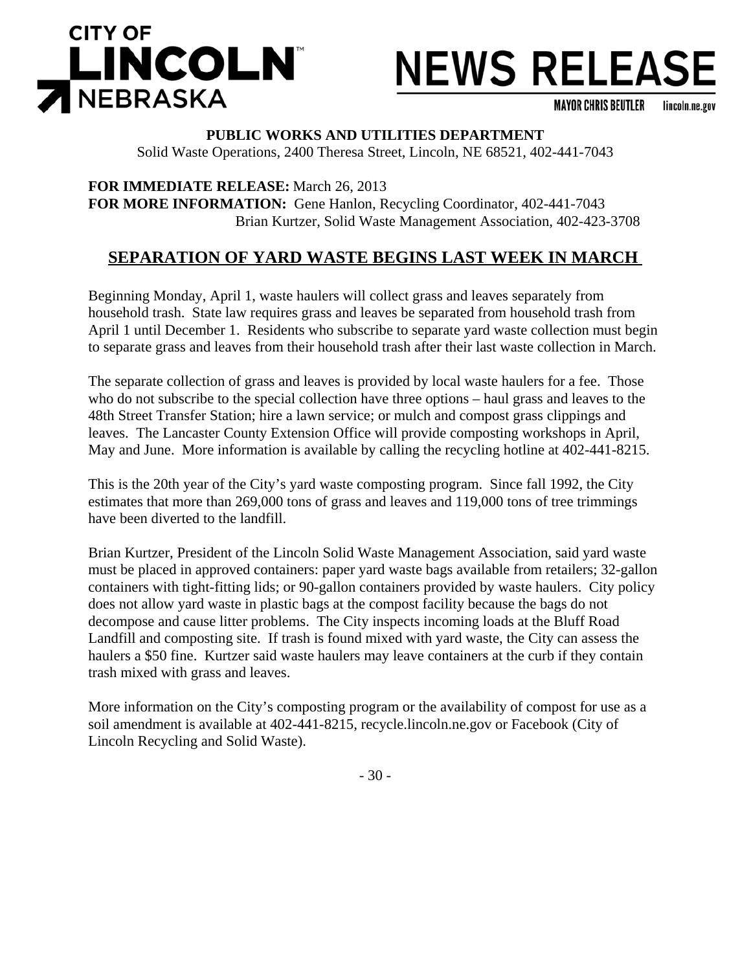

# **NEWS RELEASE**

**MAYOR CHRIS BEUTLER** lincoln.ne.gov

# **PUBLIC WORKS AND UTILITIES DEPARTMENT**

Solid Waste Operations, 2400 Theresa Street, Lincoln, NE 68521, 402-441-7043

**FOR IMMEDIATE RELEASE:** March 26, 2013 **FOR MORE INFORMATION:** Gene Hanlon, Recycling Coordinator, 402-441-7043 Brian Kurtzer, Solid Waste Management Association, 402-423-3708

# **SEPARATION OF YARD WASTE BEGINS LAST WEEK IN MARCH**

Beginning Monday, April 1, waste haulers will collect grass and leaves separately from household trash. State law requires grass and leaves be separated from household trash from April 1 until December 1. Residents who subscribe to separate yard waste collection must begin to separate grass and leaves from their household trash after their last waste collection in March.

The separate collection of grass and leaves is provided by local waste haulers for a fee. Those who do not subscribe to the special collection have three options – haul grass and leaves to the 48th Street Transfer Station; hire a lawn service; or mulch and compost grass clippings and leaves. The Lancaster County Extension Office will provide composting workshops in April, May and June. More information is available by calling the recycling hotline at 402-441-8215.

This is the 20th year of the City's yard waste composting program. Since fall 1992, the City estimates that more than 269,000 tons of grass and leaves and 119,000 tons of tree trimmings have been diverted to the landfill.

Brian Kurtzer, President of the Lincoln Solid Waste Management Association, said yard waste must be placed in approved containers: paper yard waste bags available from retailers; 32-gallon containers with tight-fitting lids; or 90-gallon containers provided by waste haulers. City policy does not allow yard waste in plastic bags at the compost facility because the bags do not decompose and cause litter problems. The City inspects incoming loads at the Bluff Road Landfill and composting site. If trash is found mixed with yard waste, the City can assess the haulers a \$50 fine. Kurtzer said waste haulers may leave containers at the curb if they contain trash mixed with grass and leaves.

More information on the City's composting program or the availability of compost for use as a soil amendment is available at 402-441-8215, recycle.lincoln.ne.gov or Facebook (City of Lincoln Recycling and Solid Waste).

- 30 -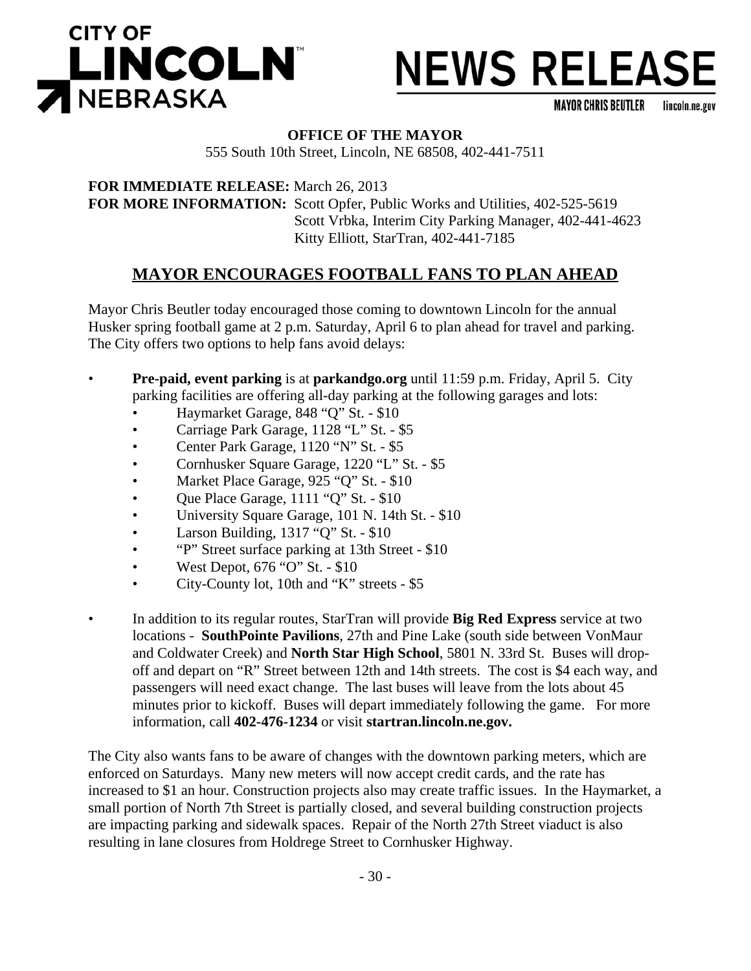



**MAYOR CHRIS BEUTLER** lincoln.ne.gov

## **OFFICE OF THE MAYOR**

555 South 10th Street, Lincoln, NE 68508, 402-441-7511

**FOR IMMEDIATE RELEASE:** March 26, 2013 **FOR MORE INFORMATION:** Scott Opfer, Public Works and Utilities, 402-525-5619 Scott Vrbka, Interim City Parking Manager, 402-441-4623 Kitty Elliott, StarTran, 402-441-7185

# **MAYOR ENCOURAGES FOOTBALL FANS TO PLAN AHEAD**

Mayor Chris Beutler today encouraged those coming to downtown Lincoln for the annual Husker spring football game at 2 p.m. Saturday, April 6 to plan ahead for travel and parking. The City offers two options to help fans avoid delays:

- **Pre-paid, event parking** is at **parkandgo.org** until 11:59 p.m. Friday, April 5. City parking facilities are offering all-day parking at the following garages and lots:
	- Haymarket Garage, 848 "Q" St. \$10
	- Carriage Park Garage, 1128 "L" St. \$5
	- Center Park Garage, 1120 "N" St. \$5
	- Cornhusker Square Garage, 1220 "L" St. \$5
	- Market Place Garage, 925 "Q" St. \$10
	- Que Place Garage, 1111 "Q" St. \$10
	- University Square Garage, 101 N. 14th St. \$10
	- Larson Building, 1317 "Q" St. \$10
	- "P" Street surface parking at 13th Street \$10
	- West Depot,  $676$  "O" St.  $$10$
	- City-County lot, 10th and "K" streets \$5
- In addition to its regular routes, StarTran will provide **Big Red Express** service at two locations - **SouthPointe Pavilions**, 27th and Pine Lake (south side between VonMaur and Coldwater Creek) and **North Star High School**, 5801 N. 33rd St. Buses will dropoff and depart on "R" Street between 12th and 14th streets. The cost is \$4 each way, and passengers will need exact change. The last buses will leave from the lots about 45 minutes prior to kickoff. Buses will depart immediately following the game. For more information, call **402-476-1234** or visit **startran.lincoln.ne.gov.**

The City also wants fans to be aware of changes with the downtown parking meters, which are enforced on Saturdays. Many new meters will now accept credit cards, and the rate has increased to \$1 an hour. Construction projects also may create traffic issues. In the Haymarket, a small portion of North 7th Street is partially closed, and several building construction projects are impacting parking and sidewalk spaces. Repair of the North 27th Street viaduct is also resulting in lane closures from Holdrege Street to Cornhusker Highway.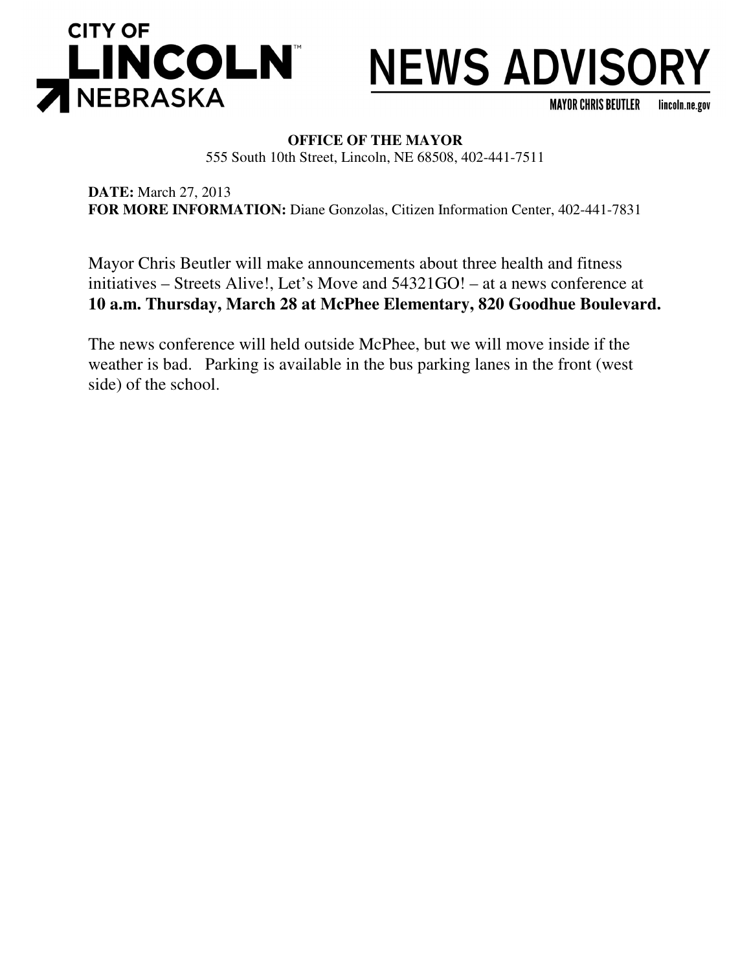



**MAYOR CHRIS BEUTLER** lincoln.ne.gov

# **OFFICE OF THE MAYOR**

555 South 10th Street, Lincoln, NE 68508, 402-441-7511

**DATE:** March 27, 2013 **FOR MORE INFORMATION:** Diane Gonzolas, Citizen Information Center, 402-441-7831

Mayor Chris Beutler will make announcements about three health and fitness initiatives – Streets Alive!, Let's Move and 54321GO! – at a news conference at **10 a.m. Thursday, March 28 at McPhee Elementary, 820 Goodhue Boulevard.**

The news conference will held outside McPhee, but we will move inside if the weather is bad. Parking is available in the bus parking lanes in the front (west side) of the school.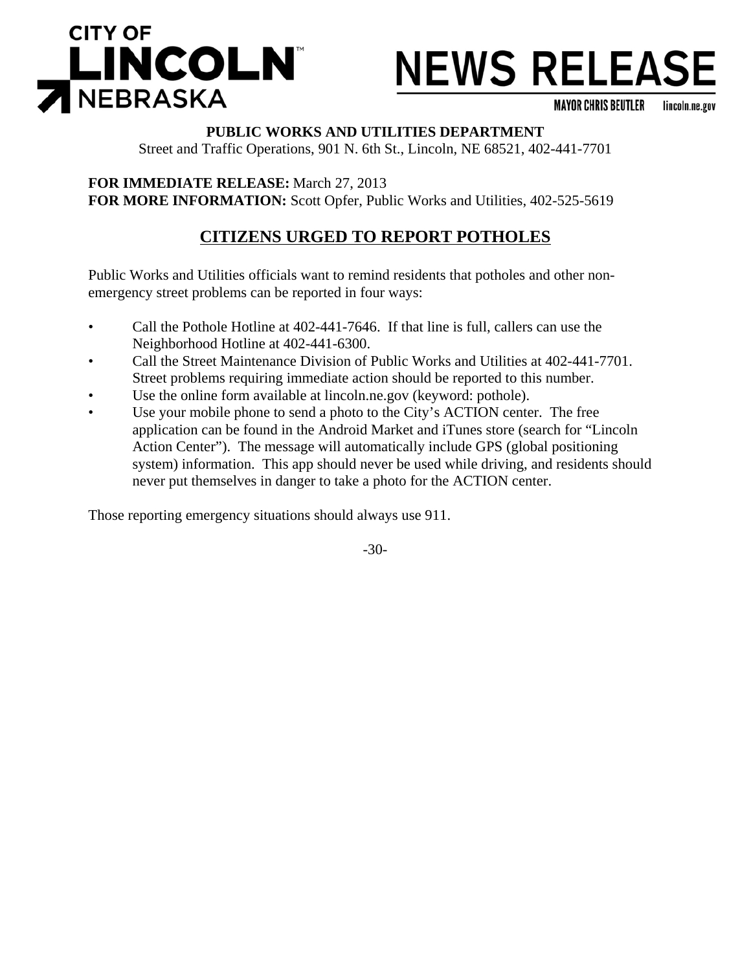

# **NEWS RELEASE**

**MAYOR CHRIS BEUTLER** lincoln.ne.gov

## **PUBLIC WORKS AND UTILITIES DEPARTMENT**

Street and Traffic Operations, 901 N. 6th St., Lincoln, NE 68521, 402-441-7701

**FOR IMMEDIATE RELEASE:** March 27, 2013 **FOR MORE INFORMATION:** Scott Opfer, Public Works and Utilities, 402-525-5619

# **CITIZENS URGED TO REPORT POTHOLES**

Public Works and Utilities officials want to remind residents that potholes and other nonemergency street problems can be reported in four ways:

- Call the Pothole Hotline at 402-441-7646. If that line is full, callers can use the Neighborhood Hotline at 402-441-6300.
- Call the Street Maintenance Division of Public Works and Utilities at 402-441-7701. Street problems requiring immediate action should be reported to this number.
- Use the online form available at lincoln.ne.gov (keyword: pothole).
- Use your mobile phone to send a photo to the City's ACTION center. The free application can be found in the Android Market and iTunes store (search for "Lincoln Action Center"). The message will automatically include GPS (global positioning system) information. This app should never be used while driving, and residents should never put themselves in danger to take a photo for the ACTION center.

Those reporting emergency situations should always use 911.

-30-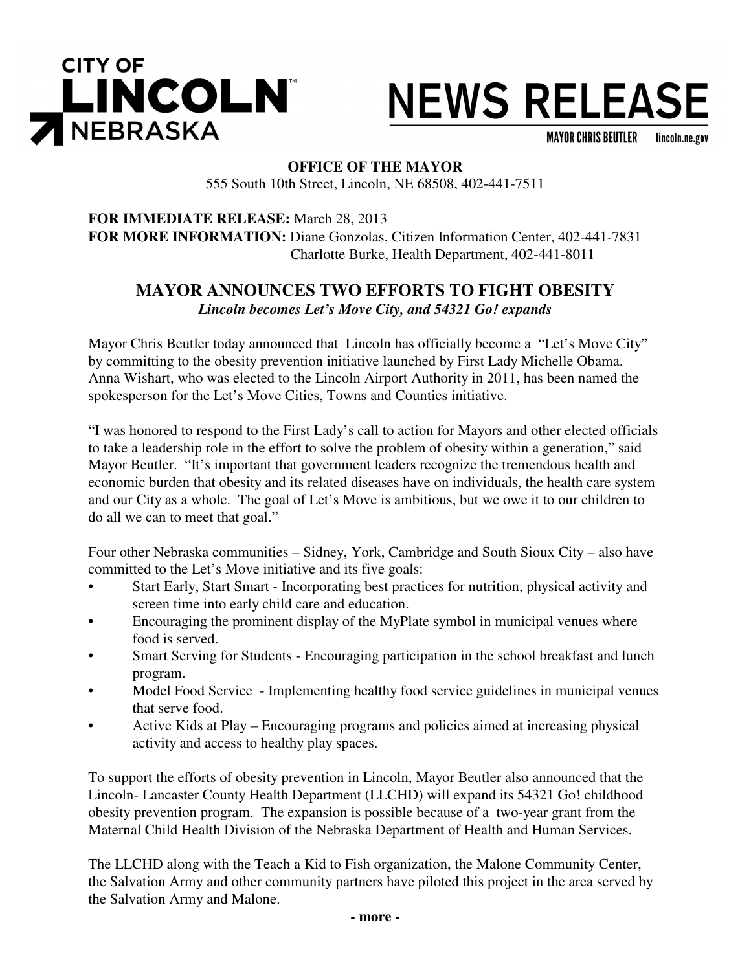

# **NEWS RELEASE**

**MAYOR CHRIS BEUTLER** lincoln.ne.gov

# **OFFICE OF THE MAYOR** 555 South 10th Street, Lincoln, NE 68508, 402-441-7511

**FOR IMMEDIATE RELEASE:** March 28, 2013 **FOR MORE INFORMATION:** Diane Gonzolas, Citizen Information Center, 402-441-7831 Charlotte Burke, Health Department, 402-441-8011

# **MAYOR ANNOUNCES TWO EFFORTS TO FIGHT OBESITY** *Lincoln becomes Let's Move City, and 54321 Go! expands*

Mayor Chris Beutler today announced that Lincoln has officially become a "Let's Move City" by committing to the obesity prevention initiative launched by First Lady Michelle Obama. Anna Wishart, who was elected to the Lincoln Airport Authority in 2011, has been named the spokesperson for the Let's Move Cities, Towns and Counties initiative.

"I was honored to respond to the First Lady's call to action for Mayors and other elected officials to take a leadership role in the effort to solve the problem of obesity within a generation," said Mayor Beutler. "It's important that government leaders recognize the tremendous health and economic burden that obesity and its related diseases have on individuals, the health care system and our City as a whole. The goal of Let's Move is ambitious, but we owe it to our children to do all we can to meet that goal."

Four other Nebraska communities – Sidney, York, Cambridge and South Sioux City – also have committed to the Let's Move initiative and its five goals:

- Start Early, Start Smart Incorporating best practices for nutrition, physical activity and screen time into early child care and education.
- Encouraging the prominent display of the MyPlate symbol in municipal venues where food is served.
- Smart Serving for Students Encouraging participation in the school breakfast and lunch program.
- Model Food Service Implementing healthy food service guidelines in municipal venues that serve food.
- Active Kids at Play Encouraging programs and policies aimed at increasing physical activity and access to healthy play spaces.

To support the efforts of obesity prevention in Lincoln, Mayor Beutler also announced that the Lincoln- Lancaster County Health Department (LLCHD) will expand its 54321 Go! childhood obesity prevention program. The expansion is possible because of a two-year grant from the Maternal Child Health Division of the Nebraska Department of Health and Human Services.

The LLCHD along with the Teach a Kid to Fish organization, the Malone Community Center, the Salvation Army and other community partners have piloted this project in the area served by the Salvation Army and Malone.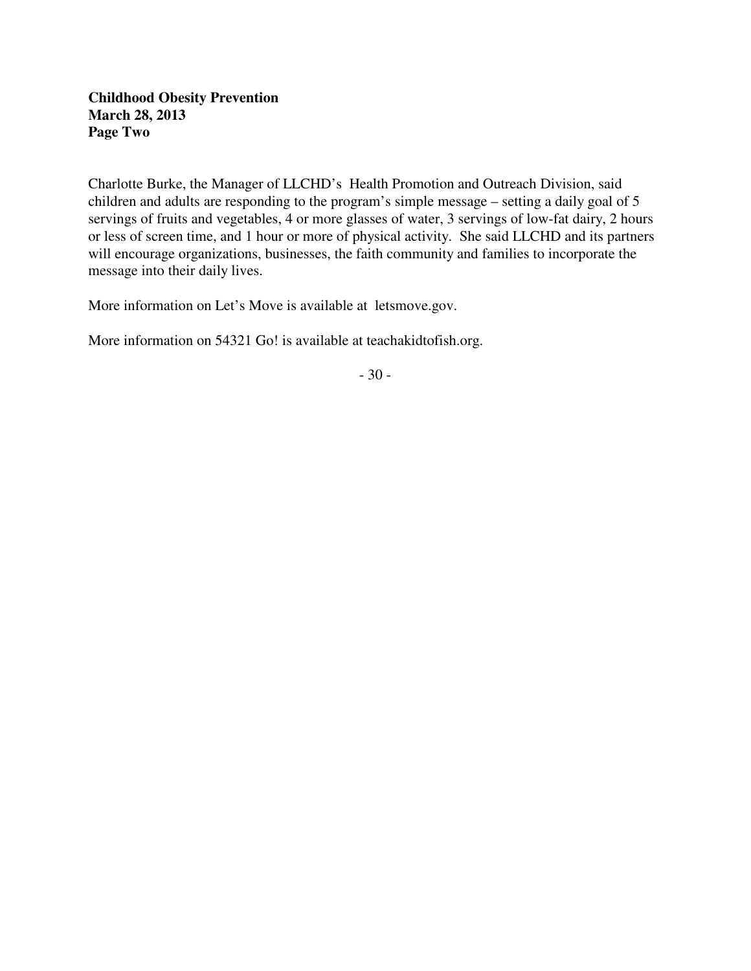# **Childhood Obesity Prevention March 28, 2013 Page Two**

Charlotte Burke, the Manager of LLCHD's Health Promotion and Outreach Division, said children and adults are responding to the program's simple message – setting a daily goal of 5 servings of fruits and vegetables, 4 or more glasses of water, 3 servings of low-fat dairy, 2 hours or less of screen time, and 1 hour or more of physical activity. She said LLCHD and its partners will encourage organizations, businesses, the faith community and families to incorporate the message into their daily lives.

More information on Let's Move is available at letsmove.gov.

More information on 54321 Go! is available at teachakidtofish.org.

- 30 -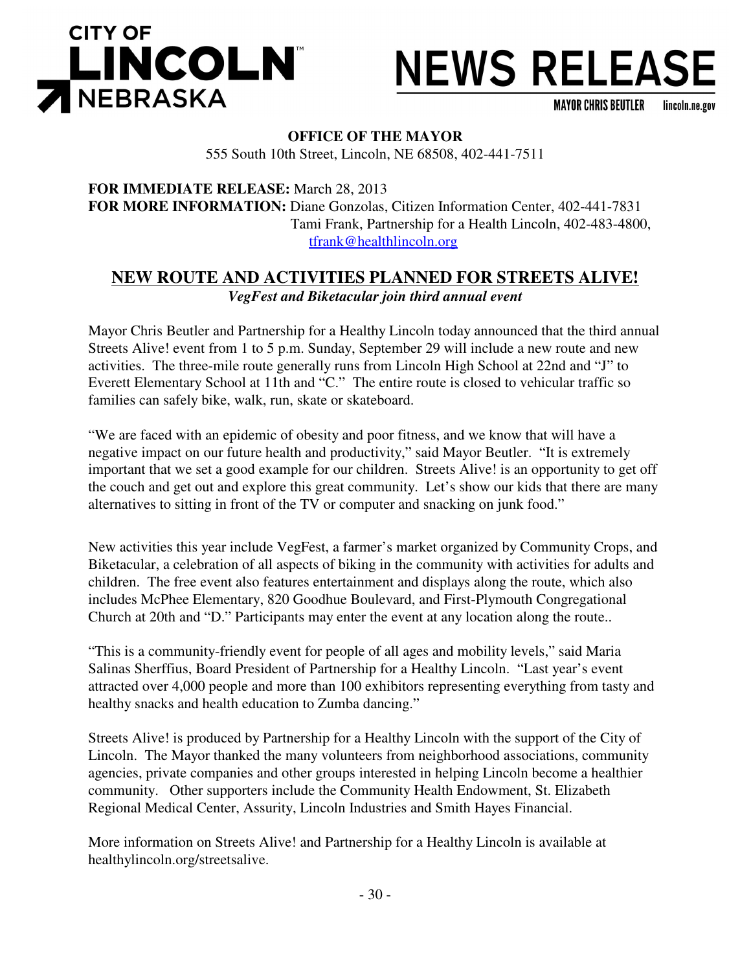



**MAYOR CHRIS BEUTLER** lincoln.ne.gov

## **OFFICE OF THE MAYOR**

555 South 10th Street, Lincoln, NE 68508, 402-441-7511

**FOR IMMEDIATE RELEASE:** March 28, 2013 **FOR MORE INFORMATION:** Diane Gonzolas, Citizen Information Center, 402-441-7831 Tami Frank, Partnership for a Health Lincoln, 402-483-4800, tfrank@healthlincoln.org

# **NEW ROUTE AND ACTIVITIES PLANNED FOR STREETS ALIVE!** *VegFest and Biketacular join third annual event*

Mayor Chris Beutler and Partnership for a Healthy Lincoln today announced that the third annual Streets Alive! event from 1 to 5 p.m. Sunday, September 29 will include a new route and new activities. The three-mile route generally runs from Lincoln High School at 22nd and "J" to Everett Elementary School at 11th and "C." The entire route is closed to vehicular traffic so families can safely bike, walk, run, skate or skateboard.

"We are faced with an epidemic of obesity and poor fitness, and we know that will have a negative impact on our future health and productivity," said Mayor Beutler. "It is extremely important that we set a good example for our children. Streets Alive! is an opportunity to get off the couch and get out and explore this great community. Let's show our kids that there are many alternatives to sitting in front of the TV or computer and snacking on junk food."

New activities this year include VegFest, a farmer's market organized by Community Crops, and Biketacular, a celebration of all aspects of biking in the community with activities for adults and children. The free event also features entertainment and displays along the route, which also includes McPhee Elementary, 820 Goodhue Boulevard, and First-Plymouth Congregational Church at 20th and "D." Participants may enter the event at any location along the route..

"This is a community-friendly event for people of all ages and mobility levels," said Maria Salinas Sherffius, Board President of Partnership for a Healthy Lincoln. "Last year's event attracted over 4,000 people and more than 100 exhibitors representing everything from tasty and healthy snacks and health education to Zumba dancing."

Streets Alive! is produced by Partnership for a Healthy Lincoln with the support of the City of Lincoln. The Mayor thanked the many volunteers from neighborhood associations, community agencies, private companies and other groups interested in helping Lincoln become a healthier community. Other supporters include the Community Health Endowment, St. Elizabeth Regional Medical Center, Assurity, Lincoln Industries and Smith Hayes Financial.

More information on Streets Alive! and Partnership for a Healthy Lincoln is available at healthylincoln.org/streetsalive.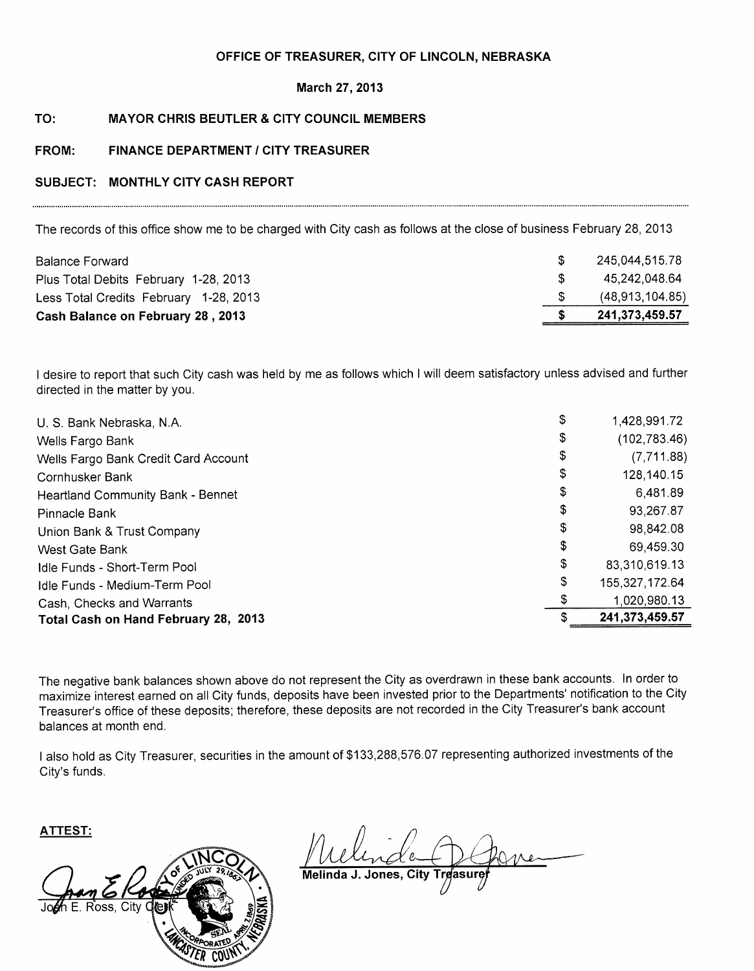#### OFFICE OF TREASURER, CITY OF LINCOLN, NEBRASKA

#### March 27, 2013

#### TO: **MAYOR CHRIS BEUTLER & CITY COUNCIL MEMBERS**

#### FROM: **FINANCE DEPARTMENT / CITY TREASURER**

#### SUBJECT: MONTHLY CITY CASH REPORT

The records of this office show me to be charged with City cash as follows at the close of business February 28, 2013

| <b>Balance Forward</b>                 | 245.044.515.78  |
|----------------------------------------|-----------------|
| Plus Total Debits February 1-28, 2013  | 45.242.048.64   |
| Less Total Credits February 1-28, 2013 | (48,913,104.85) |
| Cash Balance on February 28, 2013      | 241,373,459.57  |
|                                        |                 |

I desire to report that such City cash was held by me as follows which I will deem satisfactory unless advised and further directed in the matter by you.

| U. S. Bank Nebraska, N.A.            | \$<br>1,428,991.72   |
|--------------------------------------|----------------------|
| Wells Fargo Bank                     | \$<br>(102, 783.46)  |
| Wells Fargo Bank Credit Card Account | \$<br>(7,711.88)     |
| Cornhusker Bank                      | \$<br>128,140.15     |
| Heartland Community Bank - Bennet    | \$<br>6,481.89       |
| Pinnacle Bank                        | \$<br>93,267.87      |
| Union Bank & Trust Company           | \$<br>98,842.08      |
| West Gate Bank                       | \$<br>69,459.30      |
| Idle Funds - Short-Term Pool         | \$<br>83,310,619.13  |
| Idle Funds - Medium-Term Pool        | \$<br>155,327,172.64 |
| Cash, Checks and Warrants            | 1.020,980.13         |
| Total Cash on Hand February 28, 2013 | \$<br>241,373,459.57 |

The negative bank balances shown above do not represent the City as overdrawn in these bank accounts. In order to maximize interest earned on all City funds, deposits have been invested prior to the Departments' notification to the City Treasurer's office of these deposits; therefore, these deposits are not recorded in the City Treasurer's bank account balances at month end.

I also hold as City Treasurer, securities in the amount of \$133,288,576.07 representing authorized investments of the City's funds.

**ATTEST:** 



Melinda J. Jones, City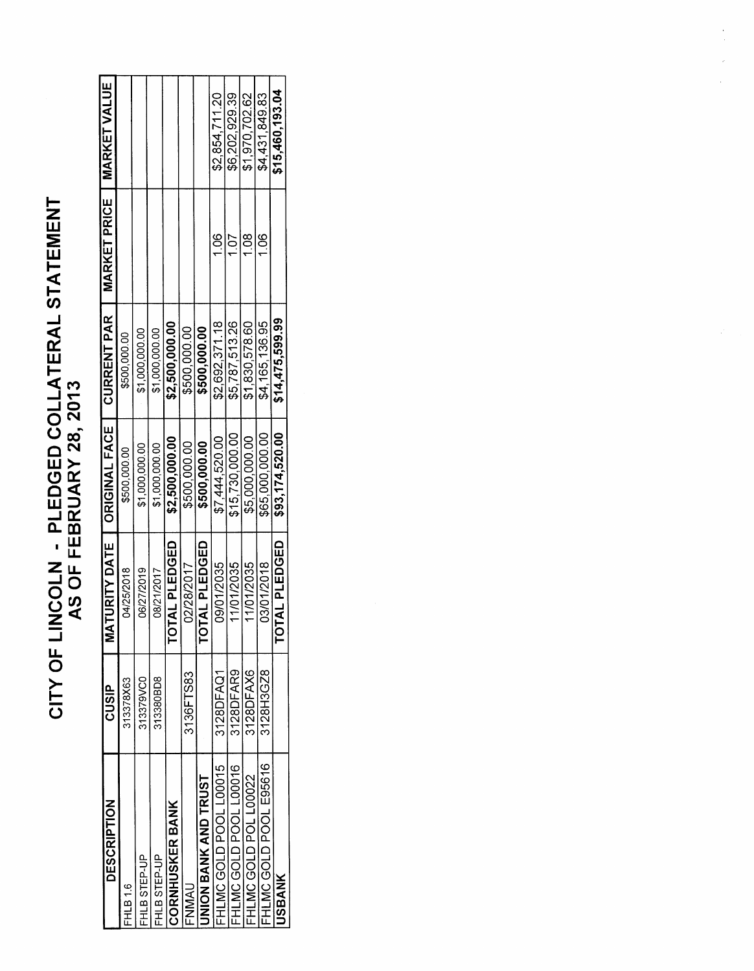# CITY OF LINCOLN - PLEDGED COLLATERAL STATEMENT<br>AS OF FEBRUARY 28, 2013

| <b>DESCRIPTION</b>     | CUSIP     | ATURITY DATE<br>ξ       | ORIGINAL FACE   | <b>CURRENT PAR</b> | MARKET PRICE  | <b>MARKET VALUE</b> |
|------------------------|-----------|-------------------------|-----------------|--------------------|---------------|---------------------|
| <b>FHLB16</b>          | 313378X63 | 04/25/2018              | \$500,000.00    | \$500,000.00       |               |                     |
| HLB STEP-UP            | 313379VC0 | 06/27/2019              | \$1,000,000.00  | \$1,000,000.00     |               |                     |
| FHLB STEP-UP           | 313380BD8 | 08/21/2017              | \$1,000,000.00  | \$1,000,000.00     |               |                     |
| <b>CORNHUSKER BANK</b> |           | <b>TAL PLEDGED</b><br>p | \$2,500,000.00  | \$2,500,000.00     |               |                     |
| <b>ANNAI</b>           | 3136FTS83 | 02/28/2017              | \$500,000.00    | \$500,000.00       |               |                     |
| INION BANK AND TRUST   |           | <b>TOTAL PLEDGED</b>    | \$500,000.00    | \$500,000.00       |               |                     |
| HLMC GOLD POOL L00015  | 3128DFAQ1 | 09/01/2035              | \$7,444,520.00  | \$2,692,371.18     | $\frac{8}{1}$ | \$2,854,711.20      |
| HLMC GOLD POOL L00016  | 3128DFAR9 | 11/01/2035              | \$15,730,000.00 | \$5,787,513.26     | 1.07          | \$6,202,929.39      |
| HLMCGOLD POL L00022    | 3128DFAX6 | 11/01/2035              | \$5,000,000.00  | \$1,830,578.60     | 108           | \$1,970,702.62      |
| FHLMC GOLD POOL E95616 | 3128H3GZ8 | 03/01/2018              | \$65,000,000.00 | \$4,165,136.95     | $\frac{6}{1}$ | \$4,431,849.83      |
| <b>JSBANK</b>          |           | TOTAL PLEDGED           | \$93,174,520.00 | \$14,475,599.99    |               | \$15,460,193.04     |
|                        |           |                         |                 |                    |               |                     |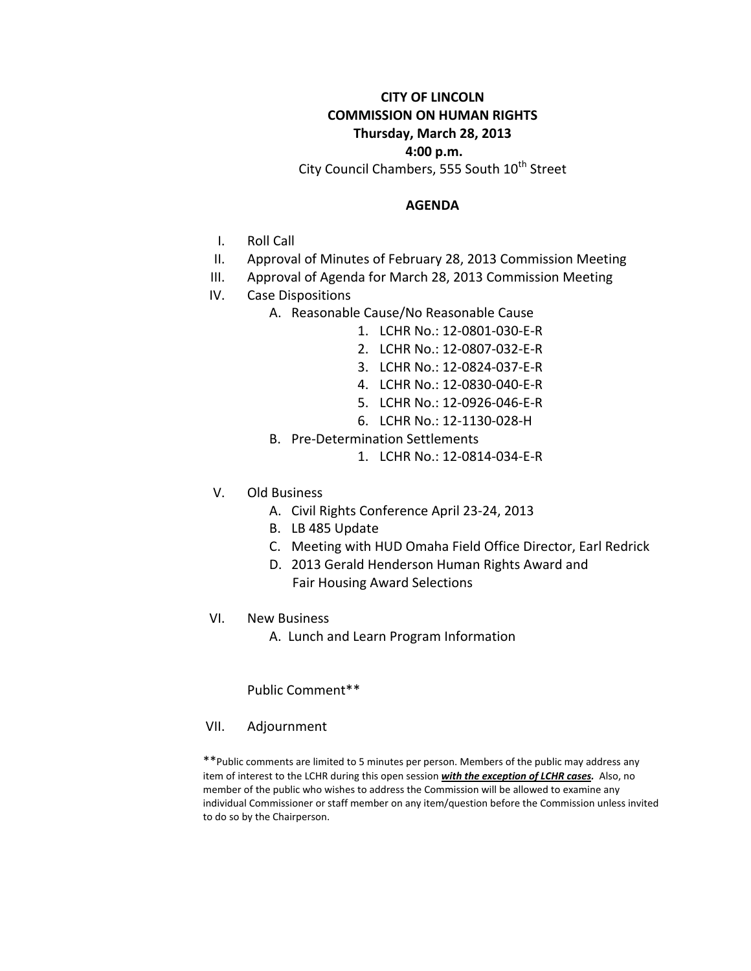# **CITY OF LINCOLN COMMISSION ON HUMAN RIGHTS Thursday, March 28, 2013**

# **4:00 p.m.**

City Council Chambers, 555 South 10<sup>th</sup> Street

#### **AGENDA**

- I. Roll Call
- II. Approval of Minutes of February 28, 2013 Commission Meeting
- III. Approval of Agenda for March 28, 2013 Commission Meeting
- IV. Case Dispositions
	- A. Reasonable Cause/No Reasonable Cause
		- 1. LCHR No.: 12-0801-030-E-R
			- 2. LCHR No.: 12-0807-032-E-R
			- 3. LCHR No.: 12-0824-037-E-R
			- 4. LCHR No.: 12-0830-040-E-R
			- 5. LCHR No.: 12-0926-046-E-R
			- 6. LCHR No.: 12-1130-028-H
	- B. Pre-Determination Settlements
		- 1. LCHR No.: 12-0814-034-E-R
- V. Old Business
	- A. Civil Rights Conference April 23-24, 2013
	- B. LB 485 Update
	- C. Meeting with HUD Omaha Field Office Director, Earl Redrick
	- D. 2013 Gerald Henderson Human Rights Award and Fair Housing Award Selections
- VI. New Business
	- A. Lunch and Learn Program Information

Public Comment\*\*

VII. Adjournment

\*\*Public comments are limited to 5 minutes per person. Members of the public may address any item of interest to the LCHR during this open session *with the exception of LCHR cases.* Also, no member of the public who wishes to address the Commission will be allowed to examine any individual Commissioner or staff member on any item/question before the Commission unless invited to do so by the Chairperson.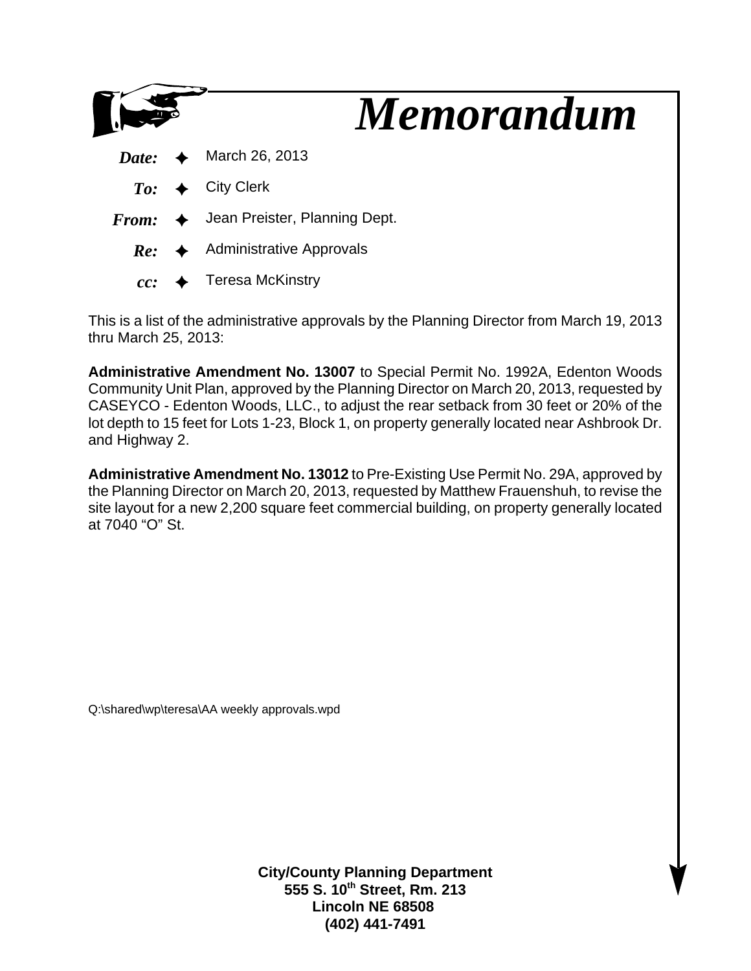

This is a list of the administrative approvals by the Planning Director from March 19, 2013 thru March 25, 2013:

**Administrative Amendment No. 13007** to Special Permit No. 1992A, Edenton Woods Community Unit Plan, approved by the Planning Director on March 20, 2013, requested by CASEYCO - Edenton Woods, LLC., to adjust the rear setback from 30 feet or 20% of the lot depth to 15 feet for Lots 1-23, Block 1, on property generally located near Ashbrook Dr. and Highway 2.

**Administrative Amendment No. 13012** to Pre-Existing Use Permit No. 29A, approved by the Planning Director on March 20, 2013, requested by Matthew Frauenshuh, to revise the site layout for a new 2,200 square feet commercial building, on property generally located at 7040 "O" St.

Q:\shared\wp\teresa\AA weekly approvals.wpd

**City/County Planning Department 555 S. 10th Street, Rm. 213 Lincoln NE 68508 (402) 441-7491**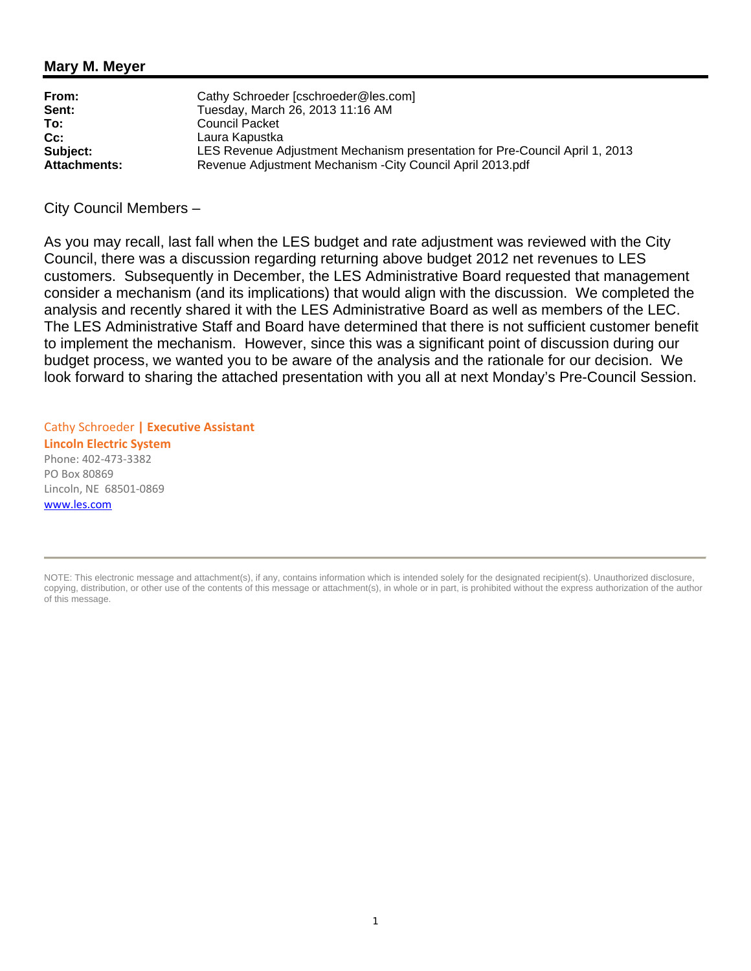# **Mary M. Meyer**

| From:               | Cathy Schroeder [cschroeder@les.com]                                        |
|---------------------|-----------------------------------------------------------------------------|
| Sent:               | Tuesday, March 26, 2013 11:16 AM                                            |
| To:                 | <b>Council Packet</b>                                                       |
| $Cc$ :              | Laura Kapustka                                                              |
| Subject:            | LES Revenue Adjustment Mechanism presentation for Pre-Council April 1, 2013 |
| <b>Attachments:</b> | Revenue Adjustment Mechanism - City Council April 2013.pdf                  |

City Council Members –

As you may recall, last fall when the LES budget and rate adjustment was reviewed with the City Council, there was a discussion regarding returning above budget 2012 net revenues to LES customers. Subsequently in December, the LES Administrative Board requested that management consider a mechanism (and its implications) that would align with the discussion. We completed the analysis and recently shared it with the LES Administrative Board as well as members of the LEC. The LES Administrative Staff and Board have determined that there is not sufficient customer benefit to implement the mechanism. However, since this was a significant point of discussion during our budget process, we wanted you to be aware of the analysis and the rationale for our decision. We look forward to sharing the attached presentation with you all at next Monday's Pre-Council Session.

Cathy Schroeder **| Executive Assistant Lincoln Electric System** Phone: 402-473-3382 PO Box 80869 Lincoln, NE 68501-0869 www.les.com

NOTE: This electronic message and attachment(s), if any, contains information which is intended solely for the designated recipient(s). Unauthorized disclosure, copying, distribution, or other use of the contents of this message or attachment(s), in whole or in part, is prohibited without the express authorization of the author of this message.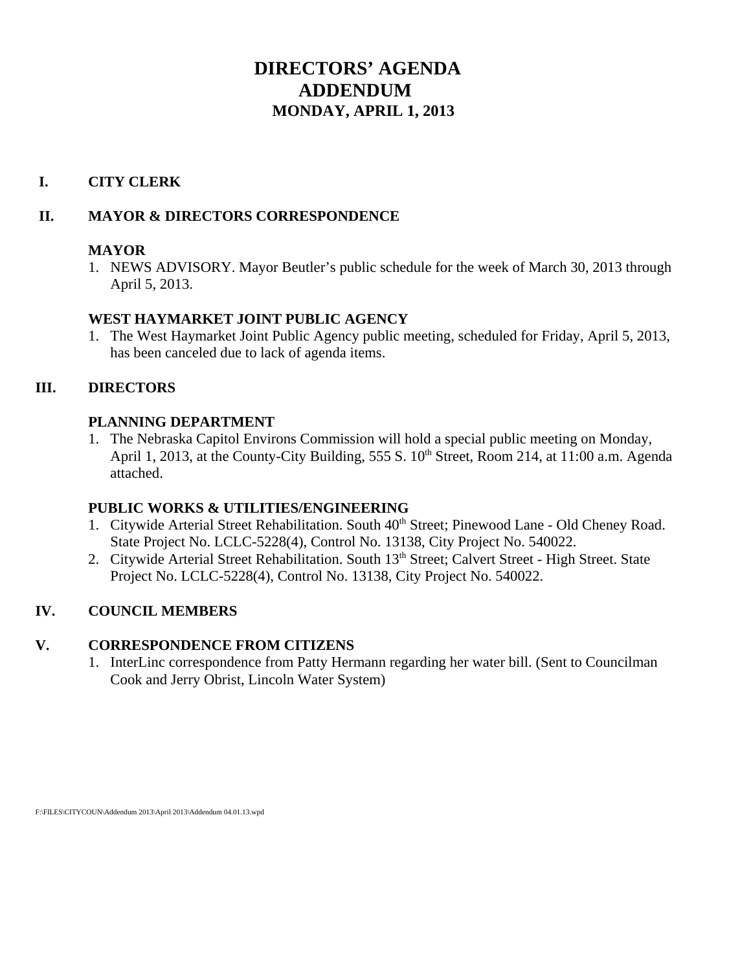# **DIRECTORS' AGENDA ADDENDUM MONDAY, APRIL 1, 2013**

# **I. CITY CLERK**

# **II. MAYOR & DIRECTORS CORRESPONDENCE**

# **MAYOR**

1. NEWS ADVISORY. Mayor Beutler's public schedule for the week of March 30, 2013 through April 5, 2013.

# **WEST HAYMARKET JOINT PUBLIC AGENCY**

1. The West Haymarket Joint Public Agency public meeting, scheduled for Friday, April 5, 2013, has been canceled due to lack of agenda items.

# **III. DIRECTORS**

# **PLANNING DEPARTMENT**

1. The Nebraska Capitol Environs Commission will hold a special public meeting on Monday, April 1, 2013, at the County-City Building, 555 S.  $10^{th}$  Street, Room 214, at 11:00 a.m. Agenda attached.

# **PUBLIC WORKS & UTILITIES/ENGINEERING**

- 1. Citywide Arterial Street Rehabilitation. South  $40<sup>th</sup>$  Street; Pinewood Lane Old Cheney Road. State Project No. LCLC-5228(4), Control No. 13138, City Project No. 540022.
- 2. Citywide Arterial Street Rehabilitation. South 13<sup>th</sup> Street; Calvert Street High Street. State Project No. LCLC-5228(4), Control No. 13138, City Project No. 540022.

# **IV. COUNCIL MEMBERS**

# **V. CORRESPONDENCE FROM CITIZENS**

1. InterLinc correspondence from Patty Hermann regarding her water bill. (Sent to Councilman Cook and Jerry Obrist, Lincoln Water System)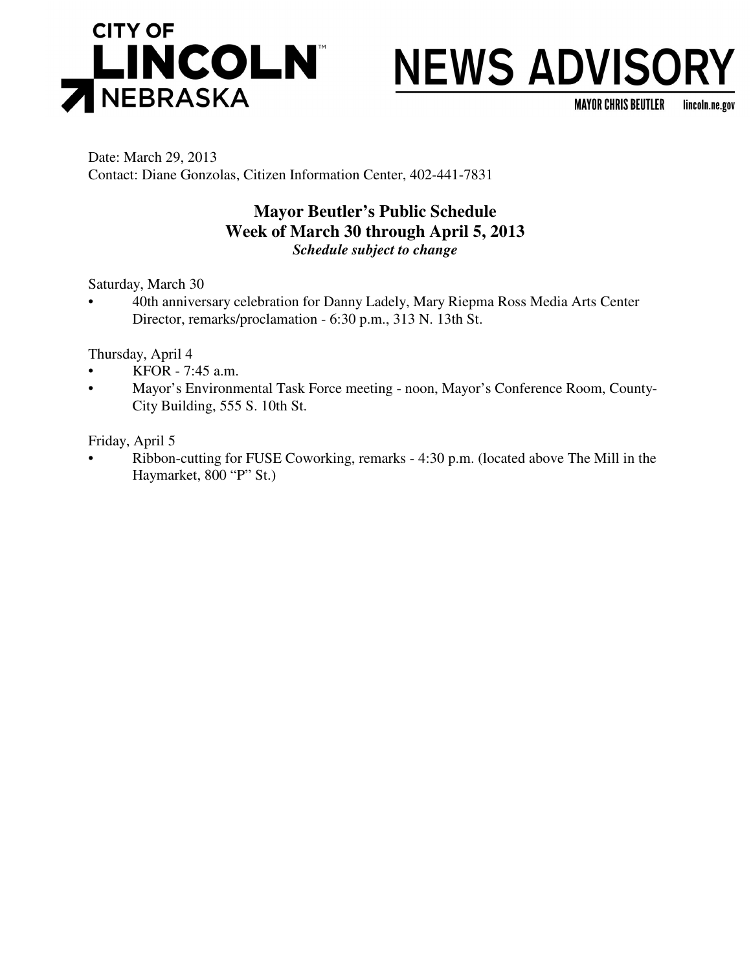

# **NEWS ADVISORY**

**MAYOR CHRIS BEUTLER** lincoln.ne.gov

Date: March 29, 2013 Contact: Diane Gonzolas, Citizen Information Center, 402-441-7831

# **Mayor Beutler's Public Schedule Week of March 30 through April 5, 2013** *Schedule subject to change*

Saturday, March 30

• 40th anniversary celebration for Danny Ladely, Mary Riepma Ross Media Arts Center Director, remarks/proclamation - 6:30 p.m., 313 N. 13th St.

Thursday, April 4

- KFOR 7:45 a.m.
- Mayor's Environmental Task Force meeting noon, Mayor's Conference Room, County-City Building, 555 S. 10th St.

Friday, April 5

• Ribbon-cutting for FUSE Coworking, remarks - 4:30 p.m. (located above The Mill in the Haymarket, 800 "P" St.)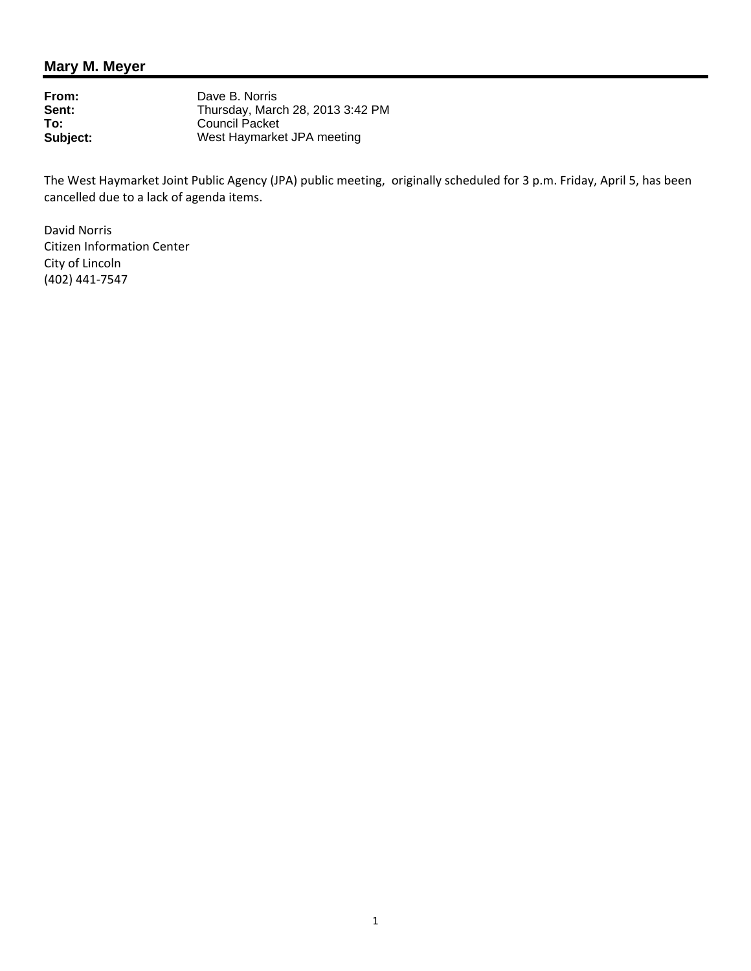# **Mary M. Meyer**

| Dave B. Norris                   |
|----------------------------------|
| Thursday, March 28, 2013 3:42 PM |
| Council Packet                   |
| West Haymarket JPA meeting       |
|                                  |

The West Haymarket Joint Public Agency (JPA) public meeting, originally scheduled for 3 p.m. Friday, April 5, has been cancelled due to a lack of agenda items.

David Norris Citizen Information Center City of Lincoln (402) 441-7547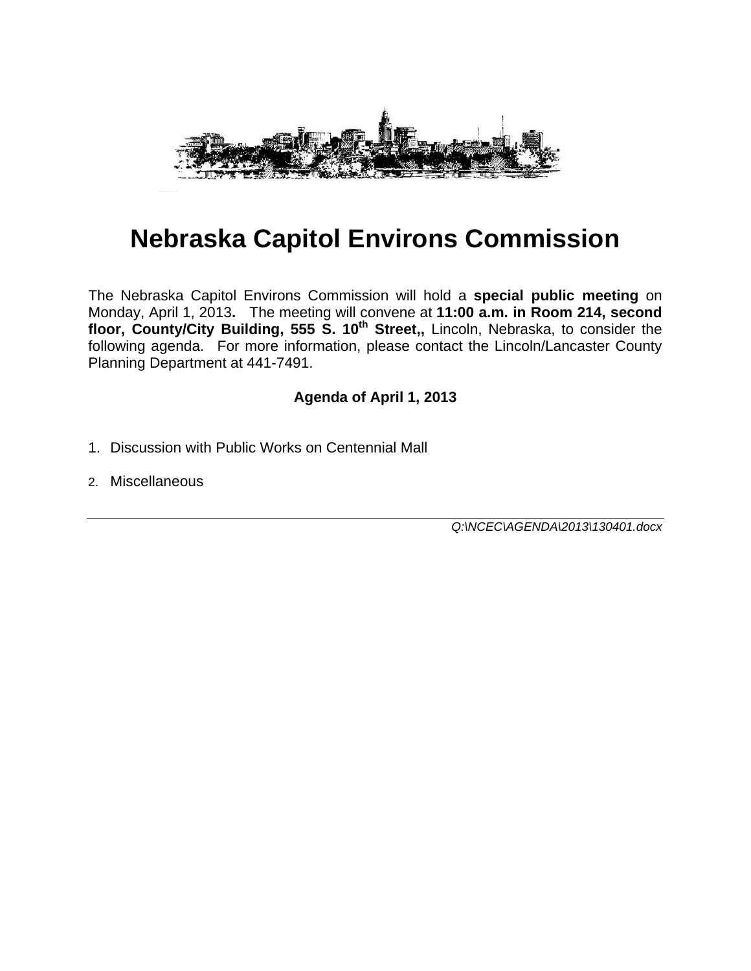

# **Nebraska Capitol Environs Commission**

The Nebraska Capitol Environs Commission will hold a **special public meeting** on Monday, April 1, 2013**.** The meeting will convene at **11:00 a.m. in Room 214, second**  floor, County/City Building, 555 S. 10<sup>th</sup> Street,, Lincoln, Nebraska, to consider the following agenda. For more information, please contact the Lincoln/Lancaster County Planning Department at 441-7491.

# **Agenda of April 1, 2013**

- 1. Discussion with Public Works on Centennial Mall
- 2. Miscellaneous

*Q:\NCEC\AGENDA\2013\130401.docx*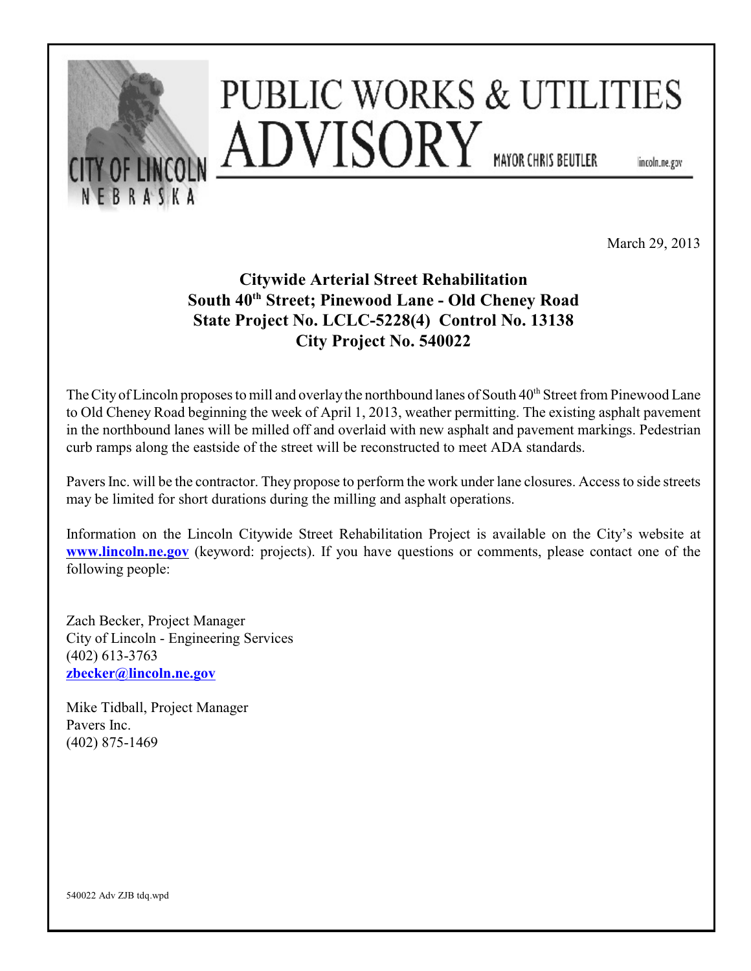

March 29, 2013

# **Citywide Arterial Street Rehabilitation** South 40<sup>th</sup> Street; Pinewood Lane - Old Cheney Road **State Project No. LCLC-5228(4) Control No. 13138 City Project No. 540022**

The City of Lincoln proposes to mill and overlay the northbound lanes of South 40<sup>th</sup> Street from Pinewood Lane to Old Cheney Road beginning the week of April 1, 2013, weather permitting. The existing asphalt pavement in the northbound lanes will be milled off and overlaid with new asphalt and pavement markings. Pedestrian curb ramps along the eastside of the street will be reconstructed to meet ADA standards.

Pavers Inc. will be the contractor. They propose to perform the work under lane closures. Access to side streets may be limited for short durations during the milling and asphalt operations.

Information on the Lincoln Citywide Street Rehabilitation Project is available on the City's website at **[www.lincoln.ne.gov](http://www.lincoln.ne.gov)** (keyword: projects). If you have questions or comments, please contact one of the following people:

Zach Becker, Project Manager City of Lincoln - Engineering Services (402) 613-3763 **[zbecker@lincoln.ne.gov](mailto:zbecker@lincoln.ne.gov)**

Mike Tidball, Project Manager Pavers Inc. (402) 875-1469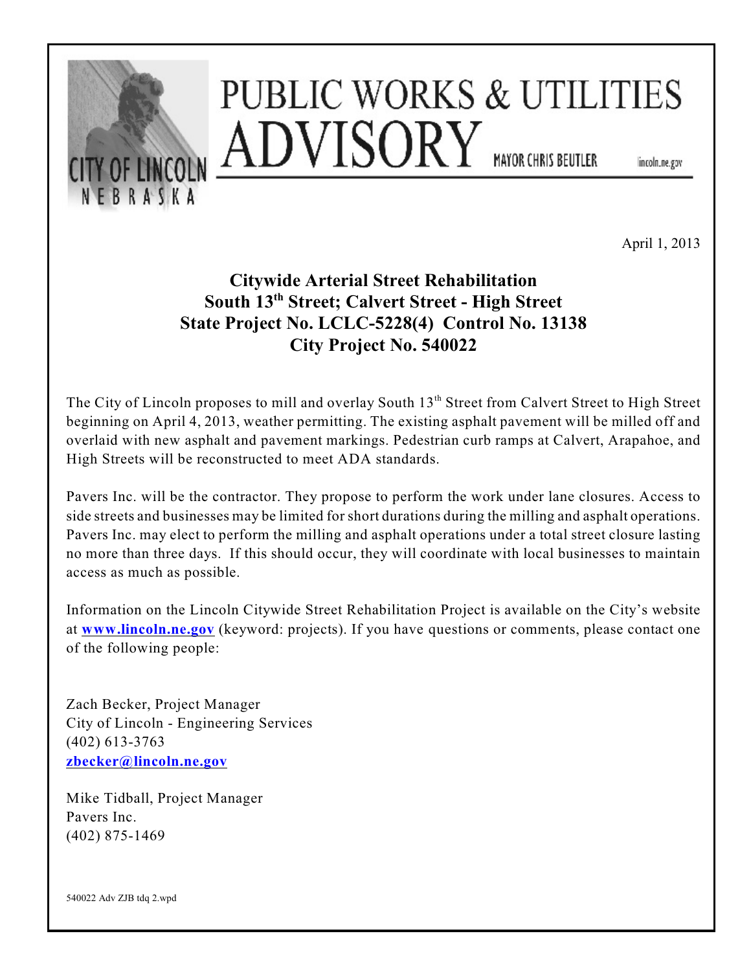

April 1, 2013

# **Citywide Arterial Street Rehabilitation** South 13<sup>th</sup> Street; Calvert Street - High Street **State Project No. LCLC-5228(4) Control No. 13138 City Project No. 540022**

The City of Lincoln proposes to mill and overlay South 13<sup>th</sup> Street from Calvert Street to High Street beginning on April 4, 2013, weather permitting. The existing asphalt pavement will be milled off and overlaid with new asphalt and pavement markings. Pedestrian curb ramps at Calvert, Arapahoe, and High Streets will be reconstructed to meet ADA standards.

Pavers Inc. will be the contractor. They propose to perform the work under lane closures. Access to side streets and businesses may be limited for short durations during the milling and asphalt operations. Pavers Inc. may elect to perform the milling and asphalt operations under a total street closure lasting no more than three days. If this should occur, they will coordinate with local businesses to maintain access as much as possible.

Information on the Lincoln Citywide Street Rehabilitation Project is available on the City's website at **[www.lincoln.ne.gov](http://www.lincoln.ne.gov)** (keyword: projects). If you have questions or comments, please contact one of the following people:

Zach Becker, Project Manager City of Lincoln - Engineering Services (402) 613-3763 **[zbecker@lincoln.ne.gov](mailto:zbecker@lincoln.ne.gov)**

Mike Tidball, Project Manager Pavers Inc. (402) 875-1469

540022 Adv ZJB tdq 2.wpd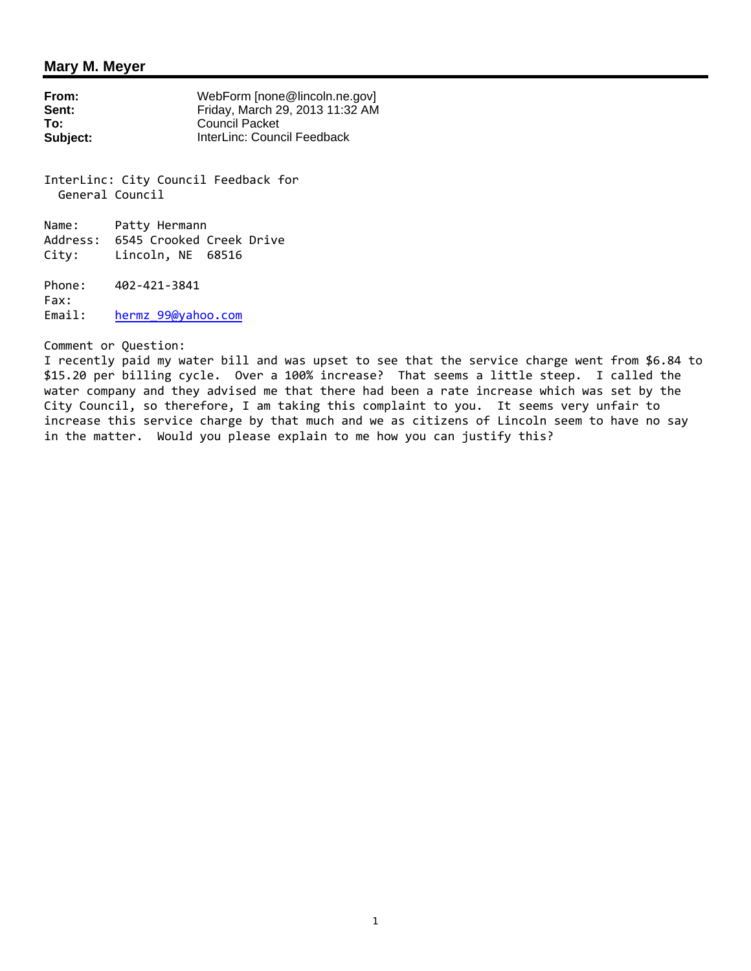#### **Mary M. Meyer**

| From:    | WebForm [none@lincoln.ne.gov]   |
|----------|---------------------------------|
| Sent:    | Friday, March 29, 2013 11:32 AM |
| To:      | <b>Council Packet</b>           |
| Subject: | InterLinc: Council Feedback     |

InterLinc: City Council Feedback for General Council

Name: Patty Hermann Address: 6545 Crooked Creek Drive City: Lincoln, NE 68516

Phone: 402-421-3841 Fax: Email: hermz\_99@yahoo.com

Comment or Question:

I recently paid my water bill and was upset to see that the service charge went from \$6.84 to \$15.20 per billing cycle. Over a 100% increase? That seems a little steep. I called the water company and they advised me that there had been a rate increase which was set by the City Council, so therefore, I am taking this complaint to you. It seems very unfair to increase this service charge by that much and we as citizens of Lincoln seem to have no say in the matter. Would you please explain to me how you can justify this?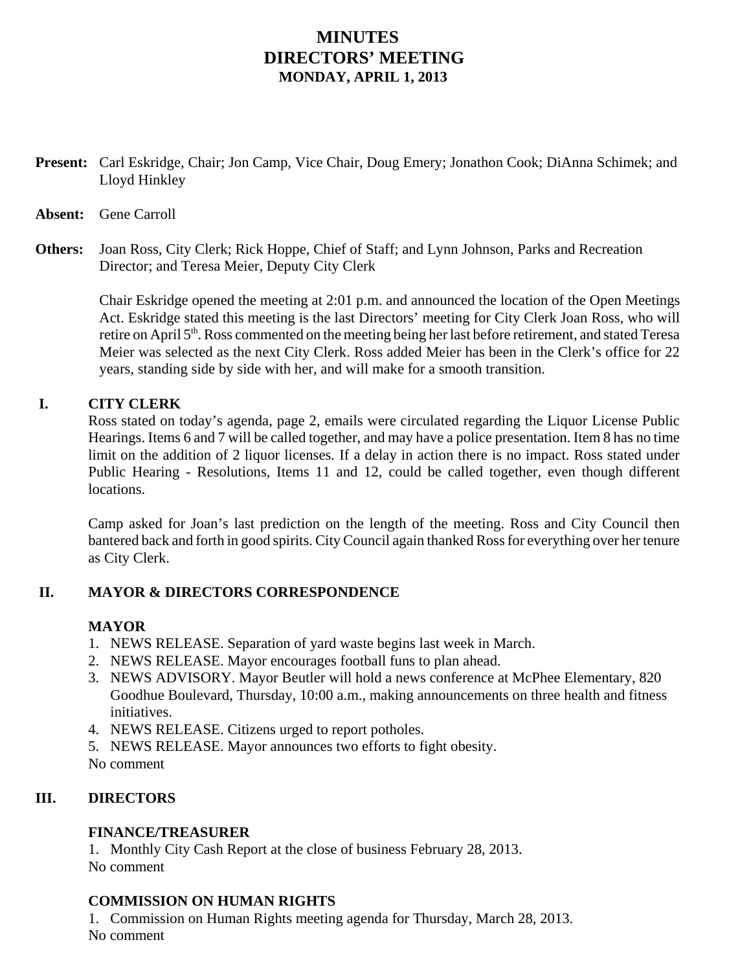# **MINUTES DIRECTORS' MEETING MONDAY, APRIL 1, 2013**

**Present:** Carl Eskridge, Chair; Jon Camp, Vice Chair, Doug Emery; Jonathon Cook; DiAnna Schimek; and Lloyd Hinkley

# **Absent:** Gene Carroll

**Others:** Joan Ross, City Clerk; Rick Hoppe, Chief of Staff; and Lynn Johnson, Parks and Recreation Director; and Teresa Meier, Deputy City Clerk

> Chair Eskridge opened the meeting at 2:01 p.m. and announced the location of the Open Meetings Act. Eskridge stated this meeting is the last Directors' meeting for City Clerk Joan Ross, who will retire on April 5<sup>th</sup>. Ross commented on the meeting being her last before retirement, and stated Teresa Meier was selected as the next City Clerk. Ross added Meier has been in the Clerk's office for 22 years, standing side by side with her, and will make for a smooth transition.

# **I. CITY CLERK**

Ross stated on today's agenda, page 2, emails were circulated regarding the Liquor License Public Hearings. Items 6 and 7 will be called together, and may have a police presentation. Item 8 has no time limit on the addition of 2 liquor licenses. If a delay in action there is no impact. Ross stated under Public Hearing - Resolutions, Items 11 and 12, could be called together, even though different locations.

Camp asked for Joan's last prediction on the length of the meeting. Ross and City Council then bantered back and forth in good spirits. City Council again thanked Ross for everything over her tenure as City Clerk.

# **II. MAYOR & DIRECTORS CORRESPONDENCE**

# **MAYOR**

- 1. NEWS RELEASE. Separation of yard waste begins last week in March.
- 2. NEWS RELEASE. Mayor encourages football funs to plan ahead.
- 3. NEWS ADVISORY. Mayor Beutler will hold a news conference at McPhee Elementary, 820 Goodhue Boulevard, Thursday, 10:00 a.m., making announcements on three health and fitness initiatives.
- 4. NEWS RELEASE. Citizens urged to report potholes.
- 5. NEWS RELEASE. Mayor announces two efforts to fight obesity.

No comment

# **III. DIRECTORS**

# **FINANCE/TREASURER**

1. Monthly City Cash Report at the close of business February 28, 2013. No comment

# **COMMISSION ON HUMAN RIGHTS**

1. Commission on Human Rights meeting agenda for Thursday, March 28, 2013. No comment